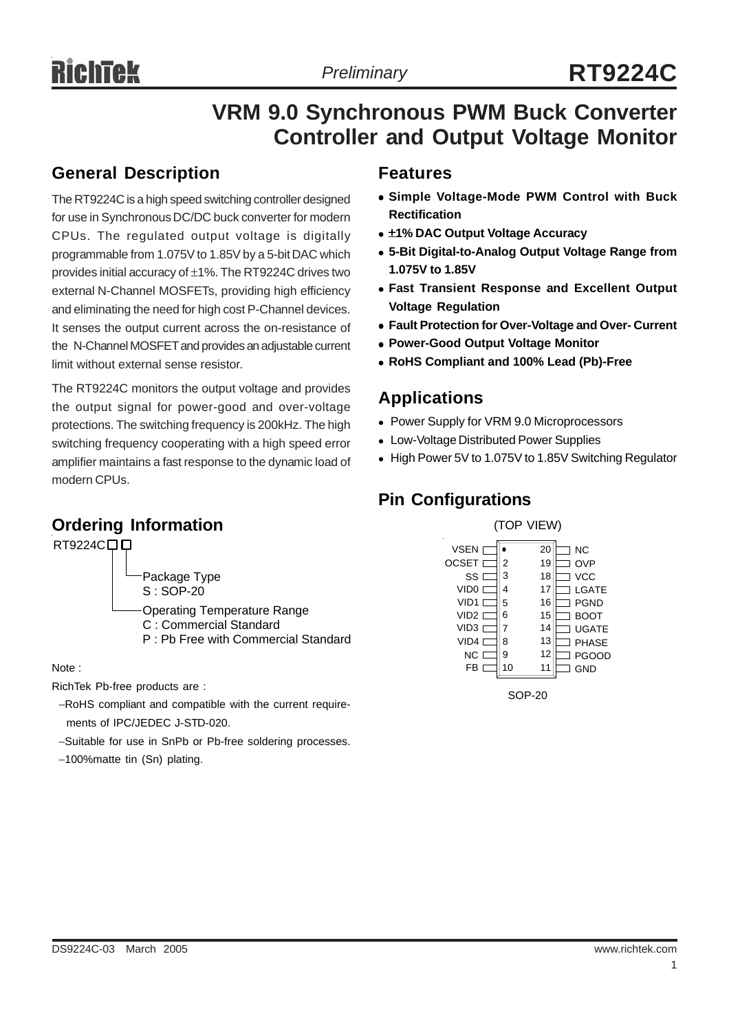# **VRM 9.0 Synchronous PWM Buck Converter Controller and Output Voltage Monitor**

#### **General Description**

The RT9224C is a high speed switching controller designed for use in Synchronous DC/DC buck converter for modern CPUs. The regulated output voltage is digitally programmable from 1.075V to 1.85V by a 5-bit DAC which provides initial accuracy of ±1%. The RT9224C drives two external N-Channel MOSFETs, providing high efficiency and eliminating the need for high cost P-Channel devices. It senses the output current across the on-resistance of the N-Channel MOSFET and provides an adjustable current limit without external sense resistor.

The RT9224C monitors the output voltage and provides the output signal for power-good and over-voltage protections. The switching frequency is 200kHz. The high switching frequency cooperating with a high speed error amplifier maintains a fast response to the dynamic load of modern CPUs.

### **Ordering Information**



Note :

RichTek Pb-free products are :

- −RoHS compliant and compatible with the current require ments of IPC/JEDEC J-STD-020.
- −Suitable for use in SnPb or Pb-free soldering processes.
- −100%matte tin (Sn) plating.

#### **Features**

- <sup>z</sup> **Simple Voltage-Mode PWM Control with Buck Rectification**
- <sup>z</sup> ±**1% DAC Output Voltage Accuracy**
- <sup>z</sup> **5-Bit Digital-to-Analog Output Voltage Range from 1.075V to 1.85V**
- **Fast Transient Response and Excellent Output Voltage Regulation**
- **Fault Protection for Over-Voltage and Over- Current**
- **Power-Good Output Voltage Monitor**
- <sup>z</sup> **RoHS Compliant and 100% Lead (Pb)-Free**

### **Applications**

- Power Supply for VRM 9.0 Microprocessors
- Low-Voltage Distributed Power Supplies
- High Power 5V to 1.075V to 1.85V Switching Regulator

# **Pin Configurations**



SOP-20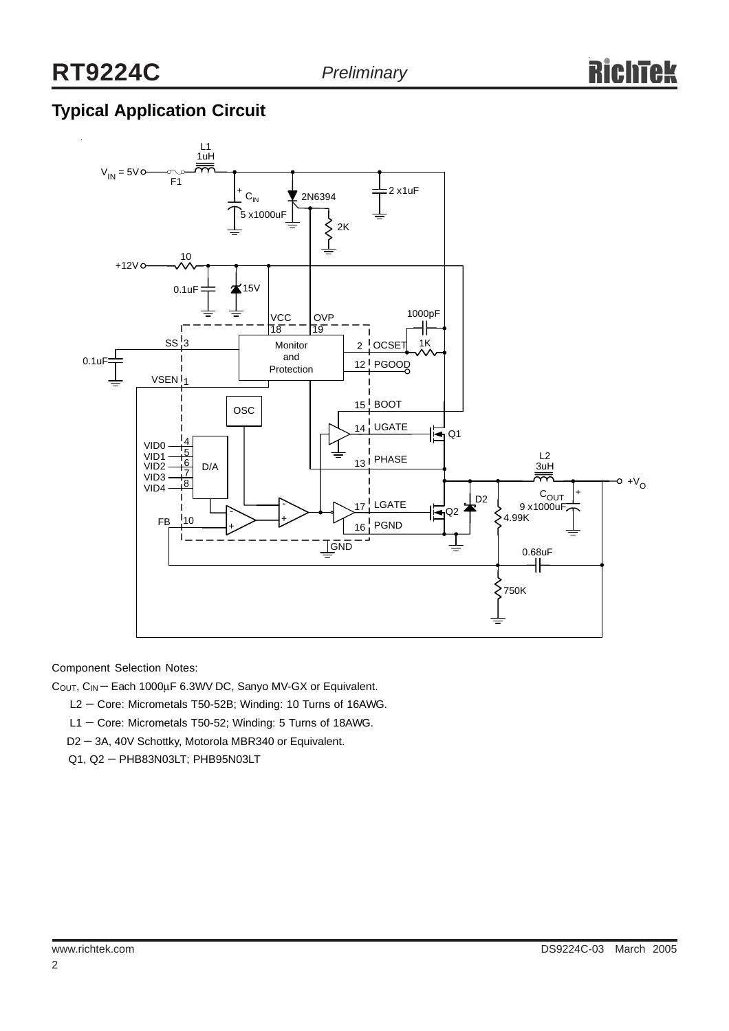# **Typical Application Circuit**



Component Selection Notes:

COUT, CIN − Each 1000µF 6.3WV DC, Sanyo MV-GX or Equivalent.

L2 − Core: Micrometals T50-52B; Winding: 10 Turns of 16AWG.

- L1 Core: Micrometals T50-52; Winding: 5 Turns of 18AWG.
- D2 − 3A, 40V Schottky, Motorola MBR340 or Equivalent.
- Q1, Q2 PHB83N03LT; PHB95N03LT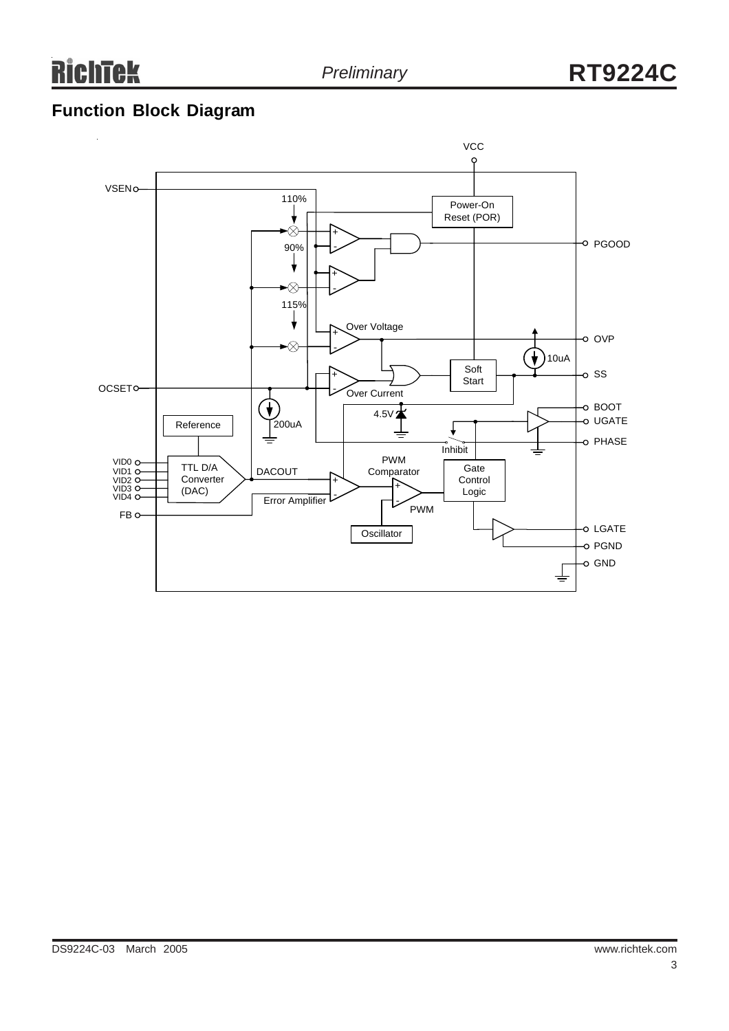**RichTek** 

# **Function Block Diagram**

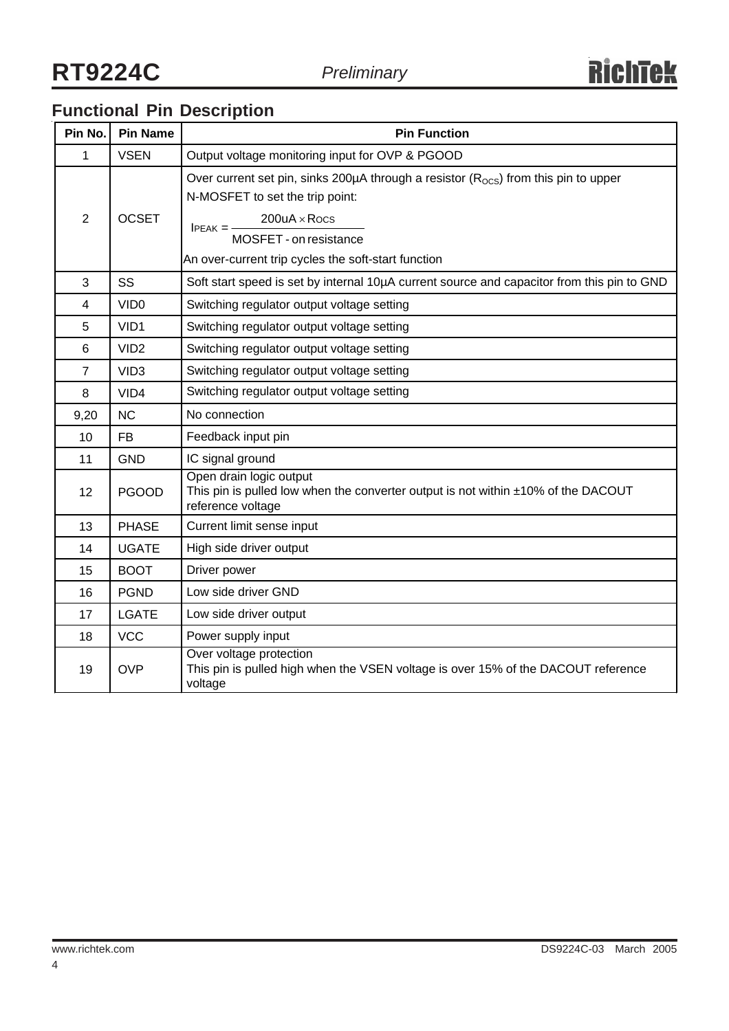# **Functional Pin Description**

| Pin No.        | <b>Pin Name</b>  | <b>Pin Function</b>                                                                                                                                                                                                                                           |  |  |
|----------------|------------------|---------------------------------------------------------------------------------------------------------------------------------------------------------------------------------------------------------------------------------------------------------------|--|--|
| 1              | <b>VSEN</b>      | Output voltage monitoring input for OVP & PGOOD                                                                                                                                                                                                               |  |  |
| 2              | <b>OCSET</b>     | Over current set pin, sinks 200 $\mu$ A through a resistor ( $R_{\text{OCS}}$ ) from this pin to upper<br>N-MOSFET to set the trip point:<br>$200uA \times Rocs$<br>$PEAK =$<br>MOSFET - on resistance<br>An over-current trip cycles the soft-start function |  |  |
| 3              | SS               | Soft start speed is set by internal 10µA current source and capacitor from this pin to GND                                                                                                                                                                    |  |  |
| 4              | VID <sub>0</sub> | Switching regulator output voltage setting                                                                                                                                                                                                                    |  |  |
| 5              | VID1             | Switching regulator output voltage setting                                                                                                                                                                                                                    |  |  |
| 6              | VID <sub>2</sub> | Switching regulator output voltage setting                                                                                                                                                                                                                    |  |  |
| $\overline{7}$ | VID <sub>3</sub> | Switching regulator output voltage setting                                                                                                                                                                                                                    |  |  |
| 8              | VID4             | Switching regulator output voltage setting                                                                                                                                                                                                                    |  |  |
| 9,20           | <b>NC</b>        | No connection                                                                                                                                                                                                                                                 |  |  |
| 10             | <b>FB</b>        | Feedback input pin                                                                                                                                                                                                                                            |  |  |
| 11             | <b>GND</b>       | IC signal ground                                                                                                                                                                                                                                              |  |  |
| 12             | <b>PGOOD</b>     | Open drain logic output<br>This pin is pulled low when the converter output is not within ±10% of the DACOUT<br>reference voltage                                                                                                                             |  |  |
| 13             | <b>PHASE</b>     | Current limit sense input                                                                                                                                                                                                                                     |  |  |
| 14             | <b>UGATE</b>     | High side driver output                                                                                                                                                                                                                                       |  |  |
| 15             | <b>BOOT</b>      | Driver power                                                                                                                                                                                                                                                  |  |  |
| 16             | <b>PGND</b>      | Low side driver GND                                                                                                                                                                                                                                           |  |  |
| 17             | <b>LGATE</b>     | Low side driver output                                                                                                                                                                                                                                        |  |  |
| 18             | <b>VCC</b>       | Power supply input                                                                                                                                                                                                                                            |  |  |
| 19             | <b>OVP</b>       | Over voltage protection<br>This pin is pulled high when the VSEN voltage is over 15% of the DACOUT reference<br>voltage                                                                                                                                       |  |  |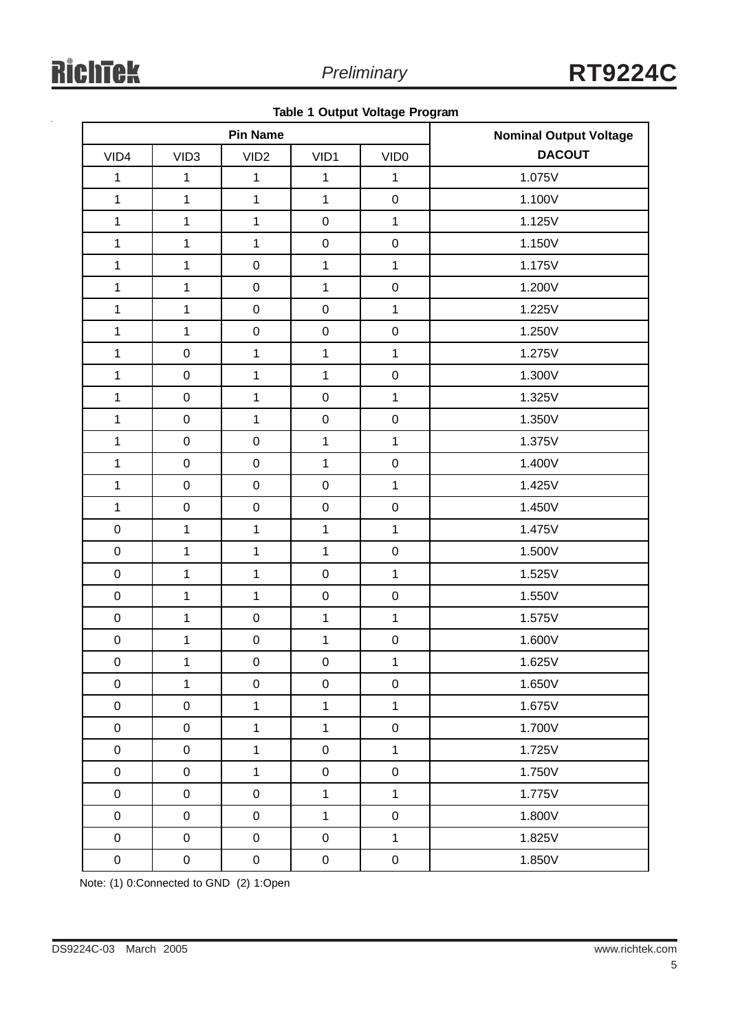|  |  |  | Table 1 Output Voltage Program |
|--|--|--|--------------------------------|
|--|--|--|--------------------------------|

| <b>Pin Name</b> |                  |                  |              |                  | <b>Nominal Output Voltage</b> |  |  |
|-----------------|------------------|------------------|--------------|------------------|-------------------------------|--|--|
| VID4            | VID <sub>3</sub> | VID <sub>2</sub> | VID1         | VID <sub>0</sub> | <b>DACOUT</b>                 |  |  |
| $\mathbf{1}$    | 1                | $\mathbf{1}$     | $\mathbf 1$  | $\mathbf{1}$     | 1.075V                        |  |  |
| $\mathbf{1}$    | $\mathbf{1}$     | $\mathbf{1}$     | $\mathbf{1}$ | $\mathbf 0$      | 1.100V                        |  |  |
| $\mathbf{1}$    | $\mathbf{1}$     | $\mathbf{1}$     | $\mathbf 0$  | $\mathbf{1}$     | 1.125V                        |  |  |
| $\mathbf{1}$    | $\mathbf{1}$     | $\mathbf{1}$     | $\pmb{0}$    | $\mathsf 0$      | 1.150V                        |  |  |
| $\mathbf{1}$    | $\mathbf{1}$     | $\mathbf 0$      | $\mathbf{1}$ | $\mathbf{1}$     | 1.175V                        |  |  |
| $\mathbf{1}$    | $\mathbf{1}$     | $\mathbf 0$      | $\mathbf{1}$ | $\mathsf 0$      | 1.200V                        |  |  |
| $\mathbf{1}$    | $\mathbf 1$      | $\mathbf 0$      | $\mathbf 0$  | $\mathbf{1}$     | 1.225V                        |  |  |
| $\mathbf{1}$    | $\mathbf{1}$     | $\mathbf 0$      | $\mathbf 0$  | $\mathsf 0$      | 1.250V                        |  |  |
| $\mathbf{1}$    | $\mathbf 0$      | $\mathbf{1}$     | $\mathbf{1}$ | $\mathbf{1}$     | 1.275V                        |  |  |
| $\mathbf{1}$    | $\boldsymbol{0}$ | $\mathbf{1}$     | $\mathbf{1}$ | $\mathsf 0$      | 1.300V                        |  |  |
| $\mathbf{1}$    | $\mathbf 0$      | $\mathbf{1}$     | $\mathbf 0$  | $\mathbf{1}$     | 1.325V                        |  |  |
| $\mathbf{1}$    | $\mathbf 0$      | $\mathbf{1}$     | $\mathbf 0$  | $\mathsf 0$      | 1.350V                        |  |  |
| $\mathbf{1}$    | $\mathbf 0$      | $\mathbf 0$      | $\mathbf{1}$ | $\mathbf{1}$     | 1.375V                        |  |  |
| $\mathbf{1}$    | $\pmb{0}$        | $\mathbf 0$      | $\mathbf{1}$ | $\mathsf 0$      | 1.400V                        |  |  |
| $\mathbf{1}$    | $\boldsymbol{0}$ | $\mathbf 0$      | $\mathbf 0$  | $\mathbf{1}$     | 1.425V                        |  |  |
| $\mathbf{1}$    | $\mathbf 0$      | $\mathbf 0$      | $\pmb{0}$    | $\mathsf 0$      | 1.450V                        |  |  |
| $\pmb{0}$       | $\mathbf{1}$     | $\mathbf{1}$     | $\mathbf{1}$ | $\mathbf{1}$     | 1.475V                        |  |  |
| $\pmb{0}$       | $\mathbf{1}$     | $\mathbf{1}$     | $\mathbf{1}$ | $\mathsf 0$      | 1.500V                        |  |  |
| $\pmb{0}$       | $\mathbf 1$      | $\mathbf{1}$     | $\mathbf 0$  | $\mathbf{1}$     | 1.525V                        |  |  |
| $\pmb{0}$       | $\mathbf 1$      | $\mathbf{1}$     | $\pmb{0}$    | $\mathsf 0$      | 1.550V                        |  |  |
| $\pmb{0}$       | $\mathbf 1$      | $\mathbf 0$      | $\mathbf{1}$ | $\mathbf{1}$     | 1.575V                        |  |  |
| $\mathbf 0$     | $\mathbf 1$      | $\pmb{0}$        | $\mathbf{1}$ | $\mathbf 0$      | 1.600V                        |  |  |
| $\mathbf 0$     | $\mathbf 1$      | $\mathbf 0$      | $\mathbf 0$  | $\mathbf{1}$     | 1.625V                        |  |  |
| $\pmb{0}$       | 1                | $\pmb{0}$        | $\pmb{0}$    | $\pmb{0}$        | 1.650V                        |  |  |
| $\pmb{0}$       | $\pmb{0}$        | $\mathbf{1}$     | $\mathbf{1}$ | $\mathbf{1}$     | 1.675V                        |  |  |
| $\pmb{0}$       | $\pmb{0}$        | $\mathbf{1}$     | $\mathbf{1}$ | $\mathsf 0$      | 1.700V                        |  |  |
| $\pmb{0}$       | $\pmb{0}$        | $\mathbf{1}$     | $\pmb{0}$    | $\mathbf{1}$     | 1.725V                        |  |  |
| $\pmb{0}$       | $\pmb{0}$        | $\mathbf{1}$     | $\mathbf 0$  | $\mathsf 0$      | 1.750V                        |  |  |
| $\pmb{0}$       | $\pmb{0}$        | $\pmb{0}$        | $\mathbf{1}$ | $\mathbf{1}$     | 1.775V                        |  |  |
| $\pmb{0}$       | $\pmb{0}$        | $\pmb{0}$        | $\mathbf{1}$ | $\mathsf 0$      | 1.800V                        |  |  |
| $\pmb{0}$       | $\mathbf 0$      | $\mathbf 0$      | $\pmb{0}$    | $\mathbf{1}$     | 1.825V                        |  |  |
| $\pmb{0}$       | $\pmb{0}$        | $\pmb{0}$        | $\pmb{0}$    | $\mathbf 0$      | 1.850V                        |  |  |

Note: (1) 0:Connected to GND (2) 1:Open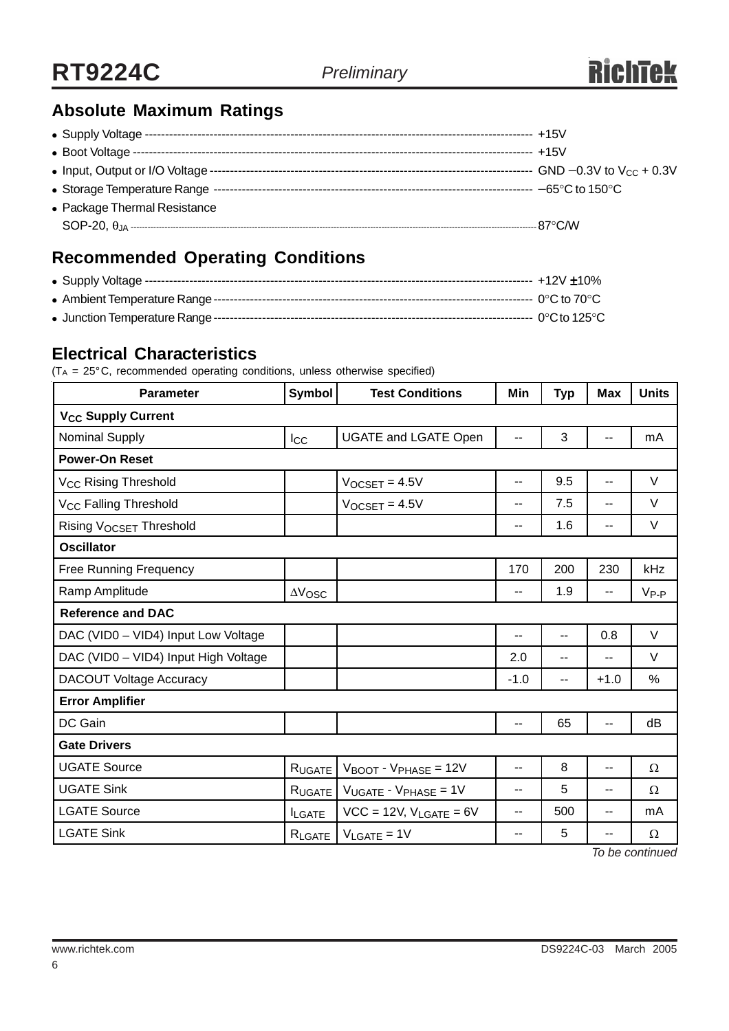# **Absolute Maximum Ratings**

| • Package Thermal Resistance |  |
|------------------------------|--|
|                              |  |
|                              |  |

# **Recommended Operating Conditions**

### **Electrical Characteristics**

 $(T_A = 25^\circ C$ , recommended operating conditions, unless otherwise specified)

| <b>Parameter</b>                     | Symbol         | <b>Test Conditions</b>                       | Min                      | <b>Typ</b> | <b>Max</b>               | <b>Units</b> |  |
|--------------------------------------|----------------|----------------------------------------------|--------------------------|------------|--------------------------|--------------|--|
| <b>V<sub>CC</sub> Supply Current</b> |                |                                              |                          |            |                          |              |  |
| Nominal Supply                       | <b>Icc</b>     | <b>UGATE and LGATE Open</b>                  | $\overline{\phantom{a}}$ | 3          | $\overline{\phantom{a}}$ | mA           |  |
| <b>Power-On Reset</b>                |                |                                              |                          |            |                          |              |  |
| V <sub>CC</sub> Rising Threshold     |                | $V$ OCSET = 4.5V                             | $-$                      | 9.5        | $-$                      | V            |  |
| V <sub>CC</sub> Falling Threshold    |                | $V_{OCSET} = 4.5V$                           | $-$                      | 7.5        | $-$                      | V            |  |
| Rising VOCSET Threshold              |                |                                              | --                       | 1.6        | --                       | V            |  |
| <b>Oscillator</b>                    |                |                                              |                          |            |                          |              |  |
| <b>Free Running Frequency</b>        |                |                                              | 170                      | 200        | 230                      | kHz          |  |
| Ramp Amplitude                       | $\Delta V$ OSC |                                              | --                       | 1.9        | --                       | $V_{P-P}$    |  |
| <b>Reference and DAC</b>             |                |                                              |                          |            |                          |              |  |
| DAC (VID0 - VID4) Input Low Voltage  |                |                                              | --                       | --         | 0.8                      | $\vee$       |  |
| DAC (VID0 - VID4) Input High Voltage |                |                                              | 2.0                      | $-$        | $-$                      | $\vee$       |  |
| <b>DACOUT Voltage Accuracy</b>       |                |                                              | $-1.0$                   | --         | $+1.0$                   | %            |  |
| <b>Error Amplifier</b>               |                |                                              |                          |            |                          |              |  |
| DC Gain                              |                |                                              | --                       | 65         | --                       | dB           |  |
| <b>Gate Drivers</b>                  |                |                                              |                          |            |                          |              |  |
| <b>UGATE Source</b>                  | <b>RUGATE</b>  | $V_{\text{BOOT}}$ - $V_{\text{PHASE}}$ = 12V | $-$                      | 8          | --                       | Ω            |  |
| <b>UGATE Sink</b>                    | RUGATE         | $V_{UGATE}$ - $V_{PHASE}$ = 1V               | $-$                      | 5          | $-$                      | Ω            |  |
| <b>LGATE Source</b>                  | <b>ILGATE</b>  | $VCC = 12V$ , $V_{LGATE} = 6V$               | --                       | 500        | $\overline{\phantom{a}}$ | mA           |  |
| <b>LGATE Sink</b>                    | RLGATE         | $V_{\text{LGATE}} = 1V$                      | $-$                      | 5          | --<br>— <i>.</i>         | Ω            |  |

*To be continued*

6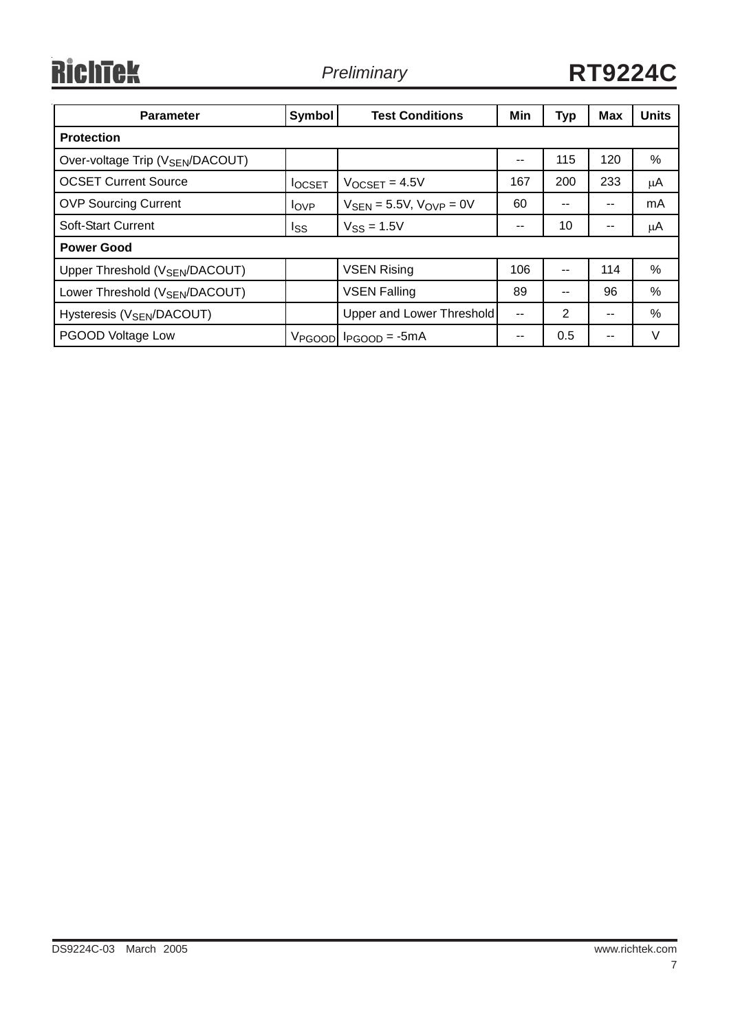# RichTek

*Preliminary* **RT9224C**

| <b>Parameter</b>                             | <b>Symbol</b>  | <b>Test Conditions</b>                          | Min | <b>Typ</b> | <b>Max</b> | <b>Units</b> |
|----------------------------------------------|----------------|-------------------------------------------------|-----|------------|------------|--------------|
| <b>Protection</b>                            |                |                                                 |     |            |            |              |
| Over-voltage Trip (V <sub>SEN</sub> /DACOUT) |                |                                                 | --  | 115        | 120        | ℅            |
| <b>OCSET Current Source</b>                  | <b>I</b> OCSET | $V$ OCSET = 4.5V                                | 167 | 200        | 233        | $\mu$ A      |
| <b>OVP Sourcing Current</b>                  | $I_{OVP}$      | $V_{\text{SEN}} = 5.5V$ , $V_{\text{OVP}} = 0V$ | 60  | --         | $- -$      | mA           |
| Soft-Start Current                           | Iss            | $V$ <sub>SS</sub> = 1.5V                        | --  | 10         | --         | μA           |
| <b>Power Good</b>                            |                |                                                 |     |            |            |              |
| Upper Threshold (V <sub>SEN</sub> /DACOUT)   |                | <b>VSEN Rising</b>                              | 106 | --         | 114        | $\%$         |
| Lower Threshold (V <sub>SEN</sub> /DACOUT)   |                | <b>VSEN Falling</b>                             | 89  | --         | 96         | %            |
| Hysteresis (V <sub>SEN</sub> /DACOUT)        |                | Upper and Lower Threshold                       | $-$ | 2          | $- -$      | $\%$         |
| PGOOD Voltage Low                            |                | $V_{PGOOD}$ $I_{PGOOD} = -5mA$                  | --  | 0.5        | $- -$      | $\vee$       |